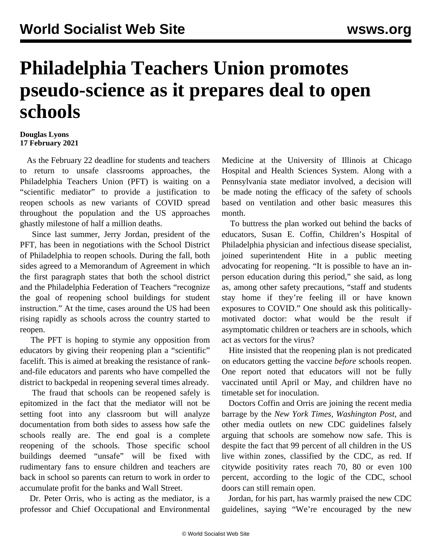## **Philadelphia Teachers Union promotes pseudo-science as it prepares deal to open schools**

## **Douglas Lyons 17 February 2021**

 As the February 22 deadline for students and teachers to return to unsafe classrooms approaches, the Philadelphia Teachers Union (PFT) is waiting on a "scientific mediator" to provide a justification to reopen schools as new variants of COVID spread throughout the population and the US approaches ghastly milestone of half a million deaths.

 Since last summer, Jerry Jordan, president of the PFT, has been in negotiations with the School District of Philadelphia to reopen schools. During the fall, both sides agreed to a Memorandum of Agreement in which the first paragraph states that both the school district and the Philadelphia Federation of Teachers "recognize the goal of reopening school buildings for student instruction." At the time, cases around the US had been rising rapidly as schools across the country started to reopen.

 The PFT is hoping to stymie any opposition from educators by giving their reopening plan a "scientific" facelift. This is aimed at breaking the resistance of rankand-file educators and parents who have compelled the district to backpedal in reopening several times already.

 The fraud that schools can be reopened safely is epitomized in the fact that the mediator will not be setting foot into any classroom but will analyze documentation from both sides to assess how safe the schools really are. The end goal is a complete reopening of the schools. Those specific school buildings deemed "unsafe" will be fixed with rudimentary fans to ensure children and teachers are back in school so parents can return to work in order to accumulate profit for the banks and Wall Street.

 Dr. Peter Orris, who is acting as the mediator, is a professor and Chief Occupational and Environmental Medicine at the University of Illinois at Chicago Hospital and Health Sciences System. Along with a Pennsylvania state mediator involved, a decision will be made noting the efficacy of the safety of schools based on ventilation and other basic measures this month.

 To buttress the plan worked out behind the backs of educators, Susan E. Coffin, Children's Hospital of Philadelphia physician and infectious disease specialist, joined superintendent Hite in a public meeting advocating for reopening. "It is possible to have an inperson education during this period," she said, as long as, among other safety precautions, "staff and students stay home if they're feeling ill or have known exposures to COVID." One should ask this politicallymotivated doctor: what would be the result if asymptomatic children or teachers are in schools, which act as vectors for the virus?

 Hite insisted that the reopening plan is not predicated on educators getting the vaccine *before* schools reopen. One report noted that educators will not be fully vaccinated until April or May, and children have no timetable set for inoculation.

 Doctors Coffin and Orris are joining the recent media barrage by the *New York Times*, *Washington Post*, and other media outlets on new CDC guidelines falsely arguing that schools are somehow now safe. This is despite the fact that 99 percent of all children in the US live within zones, classified by the CDC, as red. If citywide positivity rates reach 70, 80 or even 100 percent, according to the logic of the CDC, school doors can still remain open.

 Jordan, for his part, has warmly praised the new CDC guidelines, saying "We're encouraged by the new